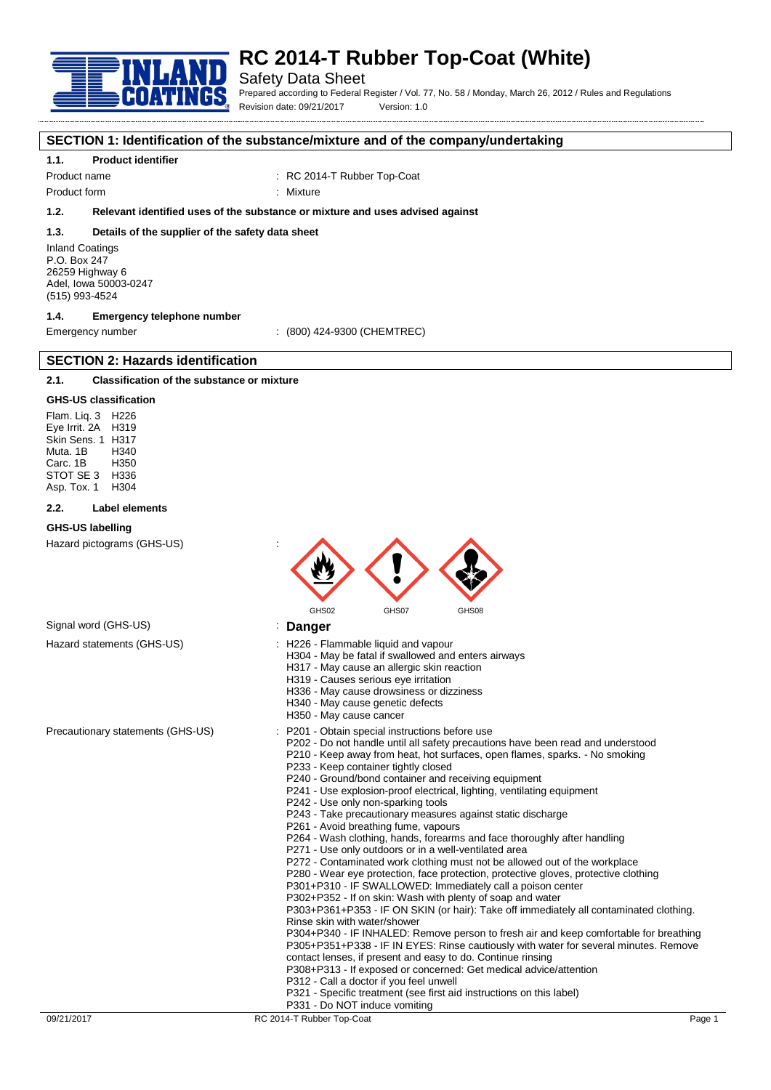

# **RC 2014-T Rubber Top-Coat (White)**

## Safety Data Sheet

Prepared according to Federal Register / Vol. 77, No. 58 / Monday, March 26, 2012 / Rules and Regulations Revision date: 09/21/2017 Version: 1.0

#### **SECTION 1: Identification of the substance/mixture and of the company/undertaking**

#### **1.1. Product identifier**

Product name  $\cdot$  RC 2014-T Rubber Top-Coat

Product form : Nixture

### **1.2. Relevant identified uses of the substance or mixture and uses advised against**

#### **1.3. Details of the supplier of the safety data sheet**

Inland Coatings P.O. Box 247 26259 Highway 6 Adel, Iowa 50003-0247 (515) 993-4524

### **1.4. Emergency telephone number**

**SECTION 2: Hazards identification**

Emergency number : (800) 424-9300 (CHEMTREC)

## **2.1. Classification of the substance or mixture**

#### **GHS-US classification**

Flam. Liq. 3 H226 Eye Irrit. 2A H319 Skin Sens. 1 H317 Muta. 1B H340 Carc. 1B H350 STOT SE 3 H336<br>Asp Tox 1 H304 Asp. Tox. 1

#### **2.2. Label elements**

#### **GHS-US labelling**

Hazard pictograms (GHS-US) :



## Signal word (GHS-US) **in the US** is **Danger**

- Hazard statements (GHS-US) : H226 Flammable liquid and vapour
	- H304 May be fatal if swallowed and enters airways
		- H317 May cause an allergic skin reaction
		- H319 Causes serious eye irritation
		- H336 May cause drowsiness or dizziness
		- H340 May cause genetic defects
		- H350 May cause cancer
- Precautionary statements (GHS-US) : P201 Obtain special instructions before use
	- P202 Do not handle until all safety precautions have been read and understood
	- P210 Keep away from heat, hot surfaces, open flames, sparks. No smoking P233 - Keep container tightly closed
	- P240 Ground/bond container and receiving equipment
	- P241 Use explosion-proof electrical, lighting, ventilating equipment
	- P242 Use only non-sparking tools
	- P243 Take precautionary measures against static discharge
	- P261 Avoid breathing fume, vapours
	- P264 Wash clothing, hands, forearms and face thoroughly after handling
	- P271 Use only outdoors or in a well-ventilated area
	- P272 Contaminated work clothing must not be allowed out of the workplace
	- P280 Wear eye protection, face protection, protective gloves, protective clothing
	- P301+P310 IF SWALLOWED: Immediately call a poison center
	- P302+P352 If on skin: Wash with plenty of soap and water

P303+P361+P353 - IF ON SKIN (or hair): Take off immediately all contaminated clothing. Rinse skin with water/shower

P304+P340 - IF INHALED: Remove person to fresh air and keep comfortable for breathing P305+P351+P338 - IF IN EYES: Rinse cautiously with water for several minutes. Remove contact lenses, if present and easy to do. Continue rinsing

- P308+P313 If exposed or concerned: Get medical advice/attention
- P312 Call a doctor if you feel unwell
- P321 Specific treatment (see first aid instructions on this label)
- P331 Do NOT induce vomiting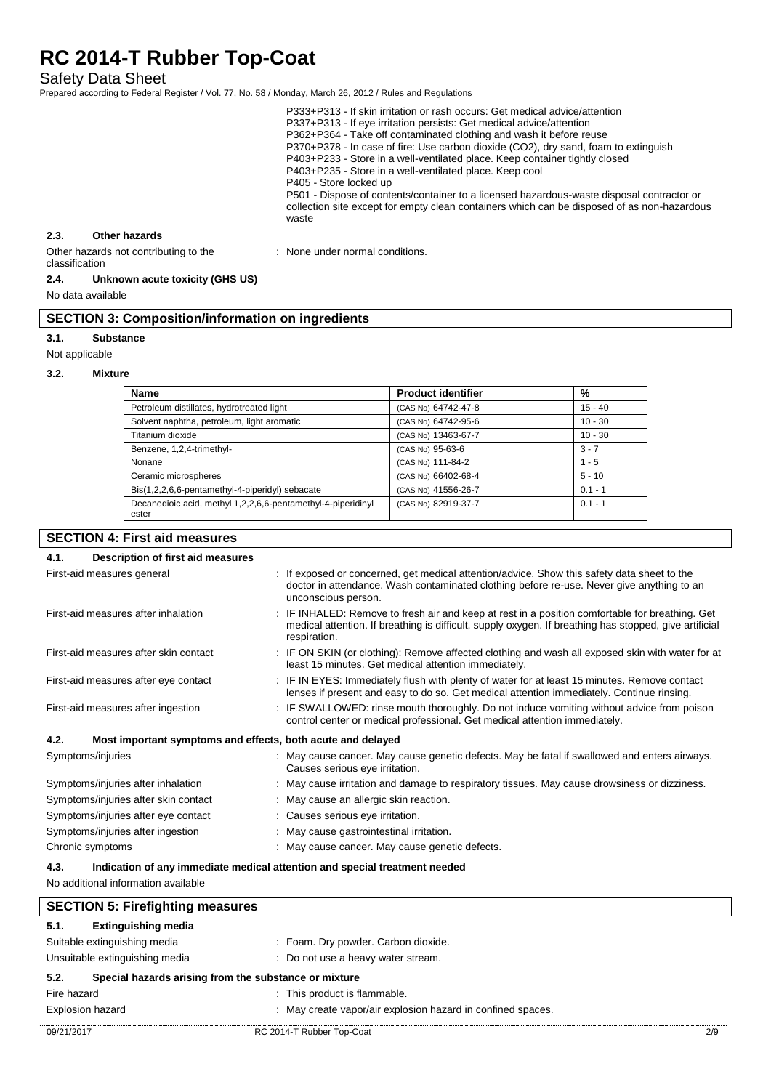Safety Data Sheet

Prepared according to Federal Register / Vol. 77, No. 58 / Monday, March 26, 2012 / Rules and Regulations

|                                                         |               | P333+P313 - If skin irritation or rash occurs: Get medical advice/attention<br>P337+P313 - If eye irritation persists: Get medical advice/attention<br>P362+P364 - Take off contaminated clothing and wash it before reuse<br>P370+P378 - In case of fire: Use carbon dioxide (CO2), dry sand, foam to extinguish<br>P403+P233 - Store in a well-ventilated place. Keep container tightly closed<br>P403+P235 - Store in a well-ventilated place. Keep cool<br>P405 - Store locked up<br>P501 - Dispose of contents/container to a licensed hazardous-waste disposal contractor or<br>collection site except for empty clean containers which can be disposed of as non-hazardous<br>waste |
|---------------------------------------------------------|---------------|--------------------------------------------------------------------------------------------------------------------------------------------------------------------------------------------------------------------------------------------------------------------------------------------------------------------------------------------------------------------------------------------------------------------------------------------------------------------------------------------------------------------------------------------------------------------------------------------------------------------------------------------------------------------------------------------|
| 2.3.                                                    | Other hazards |                                                                                                                                                                                                                                                                                                                                                                                                                                                                                                                                                                                                                                                                                            |
| Other hazards not contributing to the<br>classification |               | : None under normal conditions.                                                                                                                                                                                                                                                                                                                                                                                                                                                                                                                                                                                                                                                            |

#### **2.4. Unknown acute toxicity (GHS US)**

No data available

## **SECTION 3: Composition/information on ingredients**

#### **3.1. Substance**

Not applicable

#### **3.2. Mixture**

| <b>Name</b>                                                           | <b>Product identifier</b> | %         |
|-----------------------------------------------------------------------|---------------------------|-----------|
| Petroleum distillates, hydrotreated light                             | (CAS No) 64742-47-8       | $15 - 40$ |
| Solvent naphtha, petroleum, light aromatic                            | (CAS No) 64742-95-6       | $10 - 30$ |
| Titanium dioxide                                                      | (CAS No) 13463-67-7       | $10 - 30$ |
| Benzene, 1,2,4-trimethyl-                                             | (CAS No) 95-63-6          | $3 - 7$   |
| Nonane                                                                | (CAS No) 111-84-2         | $1 - 5$   |
| Ceramic microspheres                                                  | (CAS No) 66402-68-4       | $5 - 10$  |
| Bis(1,2,2,6,6-pentamethyl-4-piperidyl) sebacate                       | (CAS No) 41556-26-7       | $0.1 - 1$ |
| Decanedioic acid, methyl 1,2,2,6,6-pentamethyl-4-piperidinyl<br>ester | (CAS No) 82919-37-7       | $0.1 - 1$ |

## **SECTION 4: First aid measures**

| Description of first aid measures<br>4.1. |                                                                                                                                                                                                                           |  |  |
|-------------------------------------------|---------------------------------------------------------------------------------------------------------------------------------------------------------------------------------------------------------------------------|--|--|
| First-aid measures general                | : If exposed or concerned, get medical attention/advice. Show this safety data sheet to the<br>doctor in attendance. Wash contaminated clothing before re-use. Never give anything to an<br>unconscious person.           |  |  |
| First-aid measures after inhalation       | : IF INHALED: Remove to fresh air and keep at rest in a position comfortable for breathing. Get<br>medical attention. If breathing is difficult, supply oxygen. If breathing has stopped, give artificial<br>respiration. |  |  |
| First-aid measures after skin contact     | : IF ON SKIN (or clothing): Remove affected clothing and wash all exposed skin with water for at<br>least 15 minutes. Get medical attention immediately.                                                                  |  |  |
| First-aid measures after eye contact      | : IF IN EYES: Immediately flush with plenty of water for at least 15 minutes. Remove contact<br>lenses if present and easy to do so. Get medical attention immediately. Continue rinsing.                                 |  |  |
| First-aid measures after ingestion        | : IF SWALLOWED: rinse mouth thoroughly. Do not induce vomiting without advice from poison<br>control center or medical professional. Get medical attention immediately.                                                   |  |  |
| 4.2.                                      | Most important symptoms and effects, both acute and delayed                                                                                                                                                               |  |  |
| Symptoms/injuries                         | : May cause cancer. May cause genetic defects. May be fatal if swallowed and enters airways.<br>Causes serious eye irritation.                                                                                            |  |  |
| Symptoms/injuries after inhalation        | : May cause irritation and damage to respiratory tissues. May cause drowsiness or dizziness.                                                                                                                              |  |  |
| Symptoms/injuries after skin contact      | : May cause an allergic skin reaction.                                                                                                                                                                                    |  |  |
| Symptoms/injuries after eye contact       | : Causes serious eye irritation.                                                                                                                                                                                          |  |  |
| Symptoms/injuries after ingestion         | May cause gastrointestinal irritation.                                                                                                                                                                                    |  |  |
| Chronic symptoms                          | May cause cancer. May cause genetic defects.                                                                                                                                                                              |  |  |

#### **4.3. Indication of any immediate medical attention and special treatment needed**

No additional information available

| <b>SECTION 5: Firefighting measures</b>                       |                                                             |     |
|---------------------------------------------------------------|-------------------------------------------------------------|-----|
| 5.1.<br><b>Extinguishing media</b>                            |                                                             |     |
| Suitable extinguishing media                                  | : Foam. Dry powder. Carbon dioxide.                         |     |
| Unsuitable extinguishing media                                | : Do not use a heavy water stream.                          |     |
| 5.2.<br>Special hazards arising from the substance or mixture |                                                             |     |
| Fire hazard                                                   | : This product is flammable.                                |     |
| <b>Explosion hazard</b>                                       | : May create vapor/air explosion hazard in confined spaces. |     |
| 09/21/2017                                                    | RC 2014-T Rubber Top-Coat                                   | 2/9 |

 $\mathsf{l}$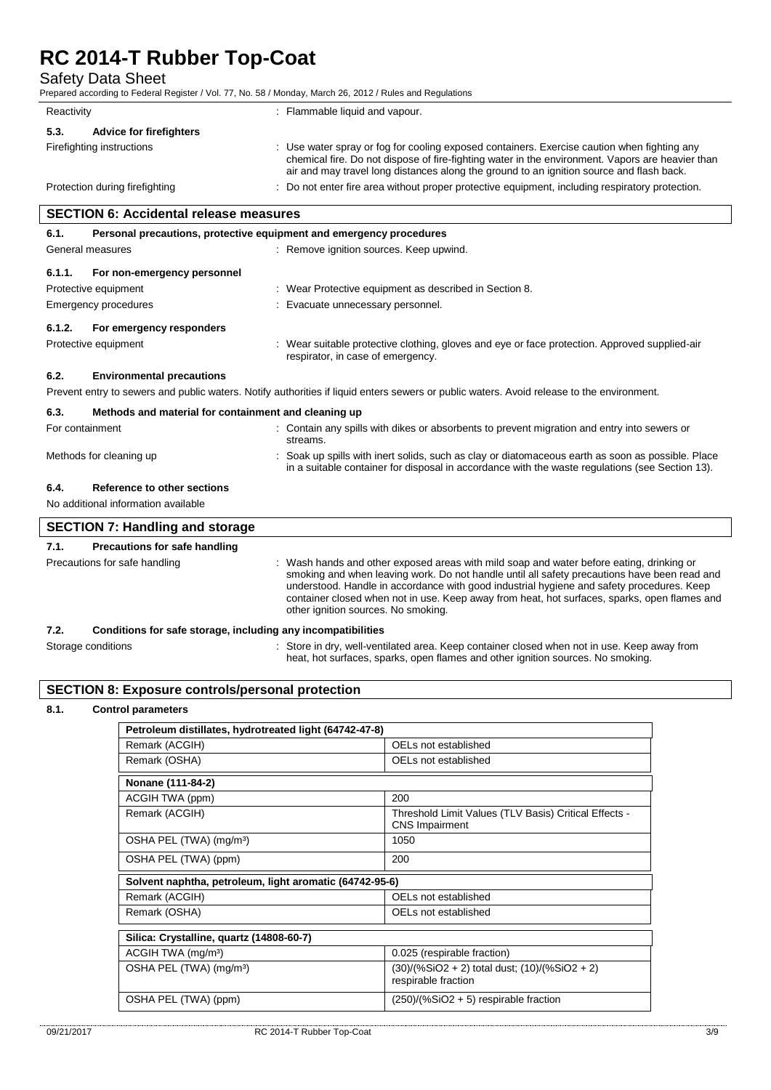Safety Data Sheet

Prepared according to Federal Register / Vol. 77, No. 58 / Monday, March 26, 2012 / Rules and Regulations

| Reactivity                             | : Flammable liquid and vapour.                                                                                                                                                                                                                                                            |
|----------------------------------------|-------------------------------------------------------------------------------------------------------------------------------------------------------------------------------------------------------------------------------------------------------------------------------------------|
| <b>Advice for firefighters</b><br>5.3. |                                                                                                                                                                                                                                                                                           |
| Firefighting instructions              | Use water spray or fog for cooling exposed containers. Exercise caution when fighting any<br>chemical fire. Do not dispose of fire-fighting water in the environment. Vapors are heavier than<br>air and may travel long distances along the ground to an ignition source and flash back. |
| Protection during firefighting         | : Do not enter fire area without proper protective equipment, including respiratory protection.                                                                                                                                                                                           |

| <b>SECTION 6: Accidental release measures</b>                               |                                                              |                                                                                                                                                                                                                                                                                                                                                                                                                              |  |
|-----------------------------------------------------------------------------|--------------------------------------------------------------|------------------------------------------------------------------------------------------------------------------------------------------------------------------------------------------------------------------------------------------------------------------------------------------------------------------------------------------------------------------------------------------------------------------------------|--|
| Personal precautions, protective equipment and emergency procedures<br>6.1. |                                                              |                                                                                                                                                                                                                                                                                                                                                                                                                              |  |
|                                                                             | General measures                                             | : Remove ignition sources. Keep upwind.                                                                                                                                                                                                                                                                                                                                                                                      |  |
| 6.1.1.                                                                      | For non-emergency personnel                                  |                                                                                                                                                                                                                                                                                                                                                                                                                              |  |
|                                                                             | Protective equipment                                         | : Wear Protective equipment as described in Section 8.                                                                                                                                                                                                                                                                                                                                                                       |  |
|                                                                             | Emergency procedures                                         | Evacuate unnecessary personnel.                                                                                                                                                                                                                                                                                                                                                                                              |  |
| 6.1.2.                                                                      | For emergency responders                                     |                                                                                                                                                                                                                                                                                                                                                                                                                              |  |
|                                                                             | Protective equipment                                         | : Wear suitable protective clothing, gloves and eye or face protection. Approved supplied-air<br>respirator, in case of emergency.                                                                                                                                                                                                                                                                                           |  |
| 6.2.                                                                        | <b>Environmental precautions</b>                             |                                                                                                                                                                                                                                                                                                                                                                                                                              |  |
|                                                                             |                                                              | Prevent entry to sewers and public waters. Notify authorities if liquid enters sewers or public waters. Avoid release to the environment.                                                                                                                                                                                                                                                                                    |  |
| 6.3.                                                                        | Methods and material for containment and cleaning up         |                                                                                                                                                                                                                                                                                                                                                                                                                              |  |
|                                                                             | For containment                                              | Contain any spills with dikes or absorbents to prevent migration and entry into sewers or<br>streams.                                                                                                                                                                                                                                                                                                                        |  |
|                                                                             | Methods for cleaning up                                      | : Soak up spills with inert solids, such as clay or diatomaceous earth as soon as possible. Place<br>in a suitable container for disposal in accordance with the waste regulations (see Section 13).                                                                                                                                                                                                                         |  |
| 6.4.                                                                        | <b>Reference to other sections</b>                           |                                                                                                                                                                                                                                                                                                                                                                                                                              |  |
|                                                                             | No additional information available                          |                                                                                                                                                                                                                                                                                                                                                                                                                              |  |
|                                                                             | <b>SECTION 7: Handling and storage</b>                       |                                                                                                                                                                                                                                                                                                                                                                                                                              |  |
| 7.1.                                                                        | <b>Precautions for safe handling</b>                         |                                                                                                                                                                                                                                                                                                                                                                                                                              |  |
|                                                                             | Precautions for safe handling                                | : Wash hands and other exposed areas with mild soap and water before eating, drinking or<br>smoking and when leaving work. Do not handle until all safety precautions have been read and<br>understood. Handle in accordance with good industrial hygiene and safety procedures. Keep<br>container closed when not in use. Keep away from heat, hot surfaces, sparks, open flames and<br>other ignition sources. No smoking. |  |
| 7.2.                                                                        | Conditions for safe storage, including any incompatibilities |                                                                                                                                                                                                                                                                                                                                                                                                                              |  |
| Storage conditions                                                          |                                                              | : Store in dry, well-ventilated area. Keep container closed when not in use. Keep away from                                                                                                                                                                                                                                                                                                                                  |  |

### **SECTION 8: Exposure controls/personal protection**

#### **8.1. Control parameters**

 $\lceil$ 

| Petroleum distillates, hydrotreated light (64742-47-8)  |                                                                                |  |
|---------------------------------------------------------|--------------------------------------------------------------------------------|--|
| Remark (ACGIH)                                          | OELs not established                                                           |  |
| Remark (OSHA)                                           | OELs not established                                                           |  |
| Nonane (111-84-2)                                       |                                                                                |  |
| ACGIH TWA (ppm)                                         | 200                                                                            |  |
| Remark (ACGIH)                                          | Threshold Limit Values (TLV Basis) Critical Effects -<br><b>CNS</b> Impairment |  |
| OSHA PEL (TWA) (mg/m <sup>3</sup> )                     | 1050                                                                           |  |
| OSHA PEL (TWA) (ppm)                                    | 200                                                                            |  |
| Solvent naphtha, petroleum, light aromatic (64742-95-6) |                                                                                |  |
| Remark (ACGIH)                                          | OELs not established                                                           |  |
| Remark (OSHA)                                           | OELs not established                                                           |  |
| Silica: Crystalline, quartz (14808-60-7)                |                                                                                |  |
| ACGIH TWA (mg/m <sup>3</sup> )                          | 0.025 (respirable fraction)                                                    |  |
| OSHA PEL (TWA) (mg/m <sup>3</sup> )                     | (30)/(%SiO2 + 2) total dust; (10)/(%SiO2 + 2)<br>respirable fraction           |  |
| OSHA PEL (TWA) (ppm)                                    | $(250)/(%SiO2 + 5)$ respirable fraction                                        |  |

heat, hot surfaces, sparks, open flames and other ignition sources. No smoking.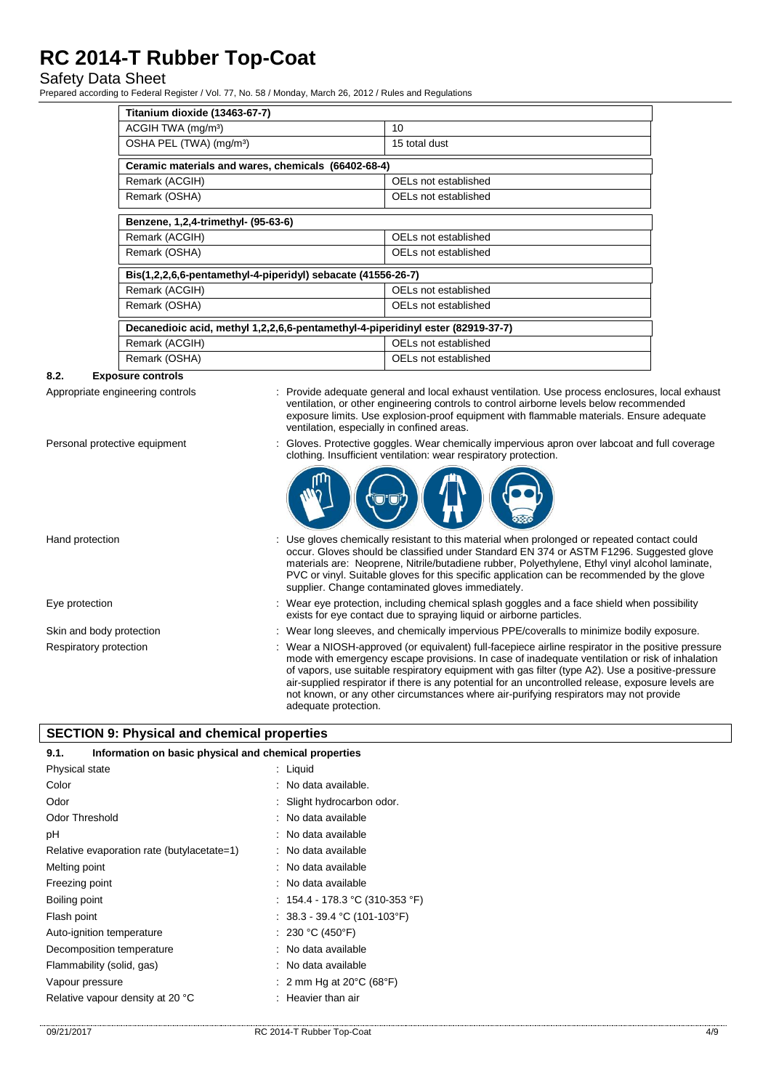## Safety Data Sheet

Prepared according to Federal Register / Vol. 77, No. 58 / Monday, March 26, 2012 / Rules and Regulations

| Titanium dioxide (13463-67-7)                                                   |                      |  |
|---------------------------------------------------------------------------------|----------------------|--|
| ACGIH TWA (mg/m <sup>3</sup> )                                                  | 10                   |  |
| OSHA PEL (TWA) (mg/m <sup>3</sup> )                                             | 15 total dust        |  |
| Ceramic materials and wares, chemicals (66402-68-4)                             |                      |  |
| Remark (ACGIH)                                                                  | OELs not established |  |
| Remark (OSHA)                                                                   | OELs not established |  |
| Benzene, 1,2,4-trimethyl- (95-63-6)                                             |                      |  |
| Remark (ACGIH)                                                                  | OELs not established |  |
| Remark (OSHA)                                                                   | OELs not established |  |
| Bis(1,2,2,6,6-pentamethyl-4-piperidyl) sebacate (41556-26-7)                    |                      |  |
| Remark (ACGIH)                                                                  | OELs not established |  |
| Remark (OSHA)                                                                   | OELs not established |  |
| Decanedioic acid, methyl 1,2,2,6,6-pentamethyl-4-piperidinyl ester (82919-37-7) |                      |  |
| Remark (ACGIH)                                                                  | OELs not established |  |
| Remark (OSHA)                                                                   | OELs not established |  |

#### **8.2. Exposure controls**

Appropriate engineering controls : Provide adequate general and local exhaust ventilation. Use process enclosures, local exhaust ventilation, or other engineering controls to control airborne levels below recommended exposure limits. Use explosion-proof equipment with flammable materials. Ensure adequate ventilation, especially in confined areas.

- 
- Personal protective equipment : Gloves. Protective goggles. Wear chemically impervious apron over labcoat and full coverage clothing. Insufficient ventilation: wear respiratory protection.



Hand protection **interval of the USE gloves** chemically resistant to this material when prolonged or repeated contact could occur. Gloves should be classified under Standard EN 374 or ASTM F1296. Suggested glove materials are: Neoprene, Nitrile/butadiene rubber, Polyethylene, Ethyl vinyl alcohol laminate, PVC or vinyl. Suitable gloves for this specific application can be recommended by the glove supplier. Change contaminated gloves immediately. Eye protection states of the state of the wear eye protection, including chemical splash goggles and a face shield when possibility exists for eye contact due to spraying liquid or airborne particles. Skin and body protection : Wear long sleeves, and chemically impervious PPE/coveralls to minimize bodily exposure. Respiratory protection : Wear a NIOSH-approved (or equivalent) full-facepiece airline respirator in the positive pressure mode with emergency escape provisions. In case of inadequate ventilation or risk of inhalation of vapors, use suitable respiratory equipment with gas filter (type A2). Use a positive-pressure air-supplied respirator if there is any potential for an uncontrolled release, exposure levels are not known, or any other circumstances where air-purifying respirators may not provide

adequate protection.

## **SECTION 9: Physical and chemical properties**

| Information on basic physical and chemical properties<br>9.1. |                                             |  |
|---------------------------------------------------------------|---------------------------------------------|--|
| Physical state                                                | : Liquid                                    |  |
| Color                                                         | : No data available.                        |  |
| Odor                                                          | Slight hydrocarbon odor.                    |  |
| <b>Odor Threshold</b>                                         | : No data available                         |  |
| рH                                                            | : No data available                         |  |
| Relative evaporation rate (butylacetate=1)                    | : No data available                         |  |
| Melting point                                                 | : No data available                         |  |
| Freezing point                                                | No data available                           |  |
| Boiling point                                                 | : 154.4 - 178.3 °C (310-353 °F)             |  |
| Flash point                                                   | : $38.3 - 39.4$ °C (101-103°F)              |  |
| Auto-ignition temperature                                     | : 230 °C (450°F)                            |  |
| Decomposition temperature                                     | No data available                           |  |
| Flammability (solid, gas)                                     | : No data available                         |  |
| Vapour pressure                                               | 2 mm Hg at $20^{\circ}$ C (68 $^{\circ}$ F) |  |
| Relative vapour density at 20 °C                              | Heavier than air                            |  |
|                                                               |                                             |  |

#### 09/21/2017 RC 2014-T Rubber Top-Coat 4/9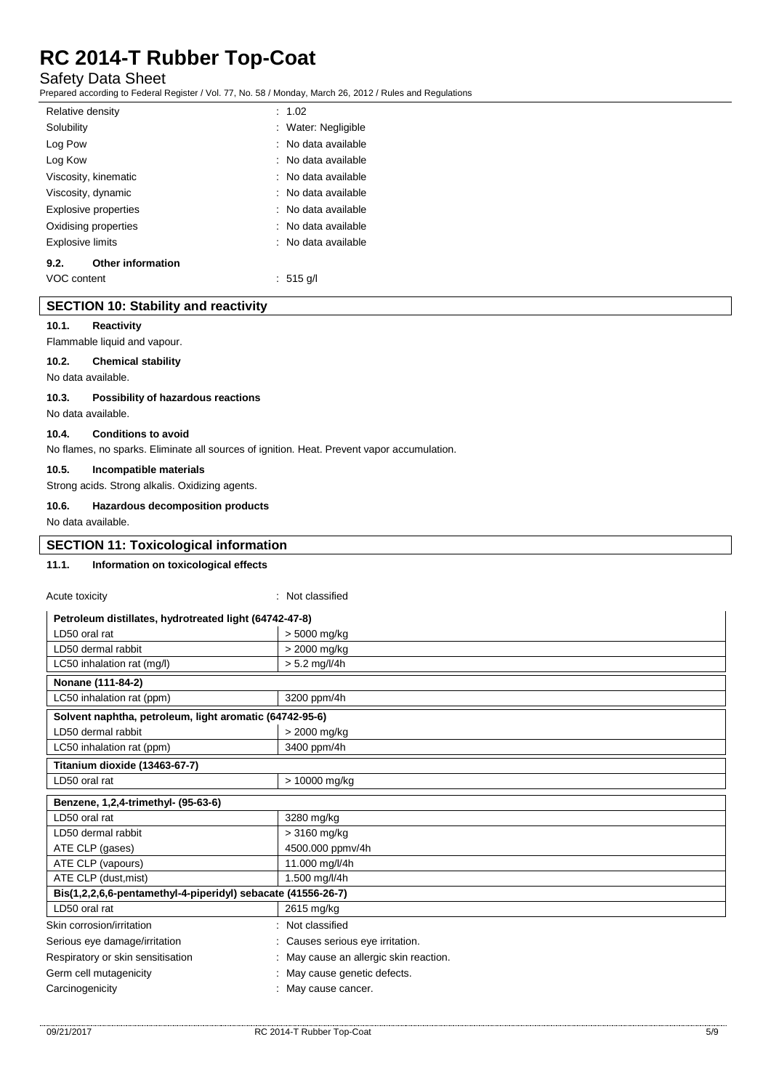## Safety Data Sheet

Prepared according to Federal Register / Vol. 77, No. 58 / Monday, March 26, 2012 / Rules and Regulations

| Relative density |                          | : 1.02              |
|------------------|--------------------------|---------------------|
| Solubility       |                          | : Water: Negligible |
| Log Pow          |                          | : No data available |
| Log Kow          |                          | : No data available |
|                  | Viscosity, kinematic     | : No data available |
|                  | Viscosity, dynamic       | : No data available |
|                  | Explosive properties     | : No data available |
|                  | Oxidising properties     | : No data available |
| Explosive limits |                          | : No data available |
| 9.2.             | <b>Other information</b> |                     |
| VOC content      |                          | ∴ 515 g/l           |

### **SECTION 10: Stability and reactivity**

#### **10.1. Reactivity**

Flammable liquid and vapour.

#### **10.2. Chemical stability**

No data available.

#### **10.3. Possibility of hazardous reactions**

No data available.

#### **10.4. Conditions to avoid**

No flames, no sparks. Eliminate all sources of ignition. Heat. Prevent vapor accumulation.

#### **10.5. Incompatible materials**

Strong acids. Strong alkalis. Oxidizing agents.

## **10.6. Hazardous decomposition products**

No data available.

## **SECTION 11: Toxicological information**

 $A$  substantially :  $A$  and  $A$  and  $A$  and  $A$  and  $A$  and  $A$  and  $A$  and  $A$  and  $A$  and  $A$  and  $A$  and  $A$  and  $A$  and  $A$  and  $A$  and  $A$  and  $A$  and  $A$  and  $A$  and  $A$  and  $A$  and  $A$  and  $A$  and  $A$  and  $A$  and

### **11.1. Information on toxicological effects**

| Acute toxicity                                               | . Not classified                     |
|--------------------------------------------------------------|--------------------------------------|
| Petroleum distillates, hydrotreated light (64742-47-8)       |                                      |
| LD50 oral rat                                                | > 5000 mg/kg                         |
| LD50 dermal rabbit                                           | > 2000 mg/kg                         |
| LC50 inhalation rat (mg/l)                                   | $> 5.2$ mg/l/4h                      |
| Nonane (111-84-2)                                            |                                      |
| LC50 inhalation rat (ppm)                                    | 3200 ppm/4h                          |
| Solvent naphtha, petroleum, light aromatic (64742-95-6)      |                                      |
| LD50 dermal rabbit                                           | > 2000 mg/kg                         |
| LC50 inhalation rat (ppm)                                    | 3400 ppm/4h                          |
| Titanium dioxide (13463-67-7)                                |                                      |
| LD50 oral rat                                                | > 10000 mg/kg                        |
| Benzene, 1,2,4-trimethyl- (95-63-6)                          |                                      |
| LD50 oral rat                                                | 3280 mg/kg                           |
| LD50 dermal rabbit                                           | $>3160$ mg/kg                        |
| ATE CLP (gases)                                              | 4500.000 ppmv/4h                     |
| ATE CLP (vapours)                                            | 11.000 mg/l/4h                       |
| ATE CLP (dust, mist)                                         | 1.500 mg/l/4h                        |
| Bis(1,2,2,6,6-pentamethyl-4-piperidyl) sebacate (41556-26-7) |                                      |
| LD50 oral rat                                                | 2615 mg/kg                           |
| Skin corrosion/irritation                                    | Not classified                       |
| Serious eye damage/irritation                                | Causes serious eye irritation.       |
| Respiratory or skin sensitisation                            | May cause an allergic skin reaction. |
| Germ cell mutagenicity                                       | May cause genetic defects.           |
| Carcinogenicity                                              | May cause cancer.                    |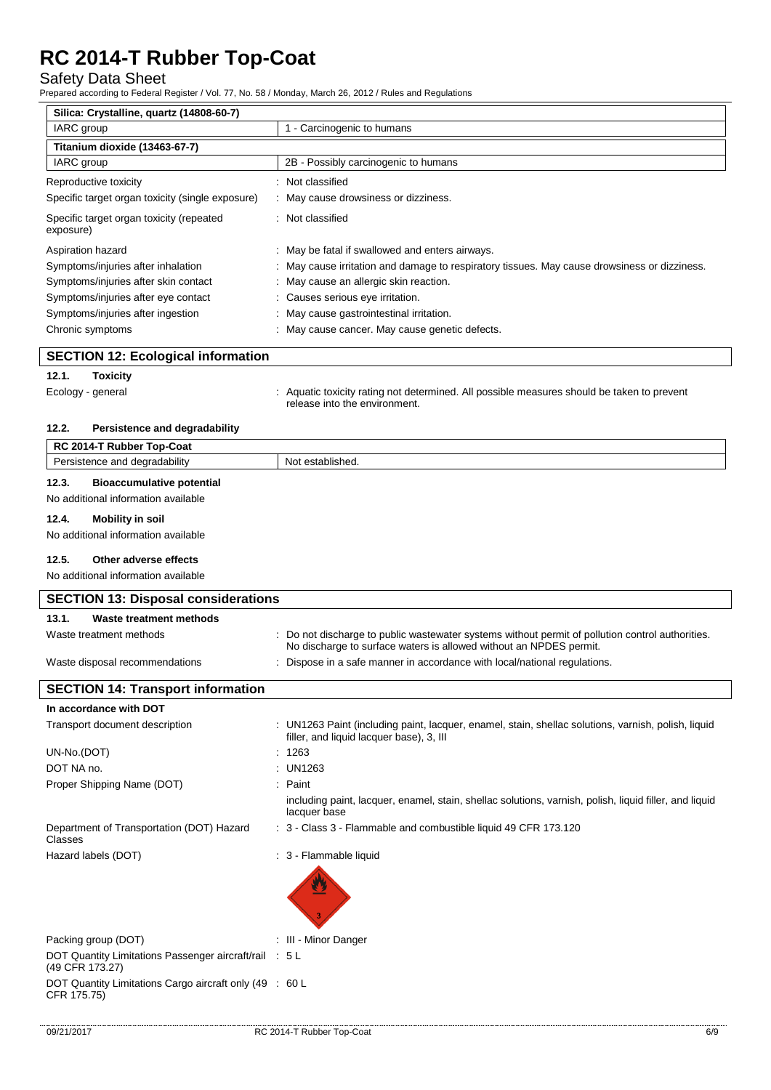## Safety Data Sheet

Prepared according to Federal Register / Vol. 77, No. 58 / Monday, March 26, 2012 / Rules and Regulations

| Silica: Crystalline, quartz (14808-60-7)              |                                                                                              |
|-------------------------------------------------------|----------------------------------------------------------------------------------------------|
| IARC group                                            | 1 - Carcinogenic to humans                                                                   |
| Titanium dioxide (13463-67-7)                         |                                                                                              |
| IARC group                                            | 2B - Possibly carcinogenic to humans                                                         |
| Reproductive toxicity                                 | : Not classified                                                                             |
| Specific target organ toxicity (single exposure)      | : May cause drowsiness or dizziness.                                                         |
| Specific target organ toxicity (repeated<br>exposure) | : Not classified                                                                             |
| Aspiration hazard                                     | May be fatal if swallowed and enters airways.                                                |
| Symptoms/injuries after inhalation                    | : May cause irritation and damage to respiratory tissues. May cause drowsiness or dizziness. |
| Symptoms/injuries after skin contact                  | : May cause an allergic skin reaction.                                                       |
| Symptoms/injuries after eye contact                   | : Causes serious eye irritation.                                                             |
| Symptoms/injuries after ingestion                     | : May cause gastrointestinal irritation.                                                     |
| Chronic symptoms                                      | : May cause cancer. May cause genetic defects.                                               |

### **SECTION 12: Ecological information**

## **12.1. Toxicity**

Ecology - general **interpretatal in the system of the system** of determined. All possible measures should be taken to prevent release into the environment.

#### **12.2. Persistence and degradability**

| RC 2014-T Rubber Top-Coat                 |                  |  |
|-------------------------------------------|------------------|--|
| Persistence and degradability             | Not established. |  |
| 12.3.<br><b>Bioaccumulative potential</b> |                  |  |
| No additional information available       |                  |  |

## **12.4. Mobility in soil**

No additional information available

#### **12.5. Other adverse effects**

No additional information available

| <b>SECTION 13: Disposal considerations</b>                                |                                                                                                                                                                       |  |
|---------------------------------------------------------------------------|-----------------------------------------------------------------------------------------------------------------------------------------------------------------------|--|
| Waste treatment methods<br>13.1.                                          |                                                                                                                                                                       |  |
| Waste treatment methods                                                   | Do not discharge to public was tewater systems without permit of pollution control authorities.<br>No discharge to surface waters is allowed without an NPDES permit. |  |
| Waste disposal recommendations                                            | Dispose in a safe manner in accordance with local/national regulations.                                                                                               |  |
| <b>SECTION 14: Transport information</b>                                  |                                                                                                                                                                       |  |
| In accordance with DOT                                                    |                                                                                                                                                                       |  |
| Transport document description                                            | : UN1263 Paint (including paint, lacquer, enamel, stain, shellac solutions, varnish, polish, liquid<br>filler, and liquid lacquer base), 3, III                       |  |
| UN-No.(DOT)                                                               | 1263                                                                                                                                                                  |  |
| DOT NA no.                                                                | UN1263                                                                                                                                                                |  |
| Proper Shipping Name (DOT)                                                | Paint                                                                                                                                                                 |  |
|                                                                           | including paint, lacquer, enamel, stain, shellac solutions, varnish, polish, liquid filler, and liquid<br>lacquer base                                                |  |
| Department of Transportation (DOT) Hazard<br>Classes                      | : 3 - Class 3 - Flammable and combustible liquid 49 CFR 173.120                                                                                                       |  |
| Hazard labels (DOT)                                                       | : 3 - Flammable liquid                                                                                                                                                |  |
|                                                                           |                                                                                                                                                                       |  |
| Packing group (DOT)                                                       | : III - Minor Danger                                                                                                                                                  |  |
| DOT Quantity Limitations Passenger aircraft/rail : 5 L<br>(49 CFR 173.27) |                                                                                                                                                                       |  |
| DOT Quantity Limitations Cargo aircraft only (49 : 60 L<br>CFR 175.75)    |                                                                                                                                                                       |  |

7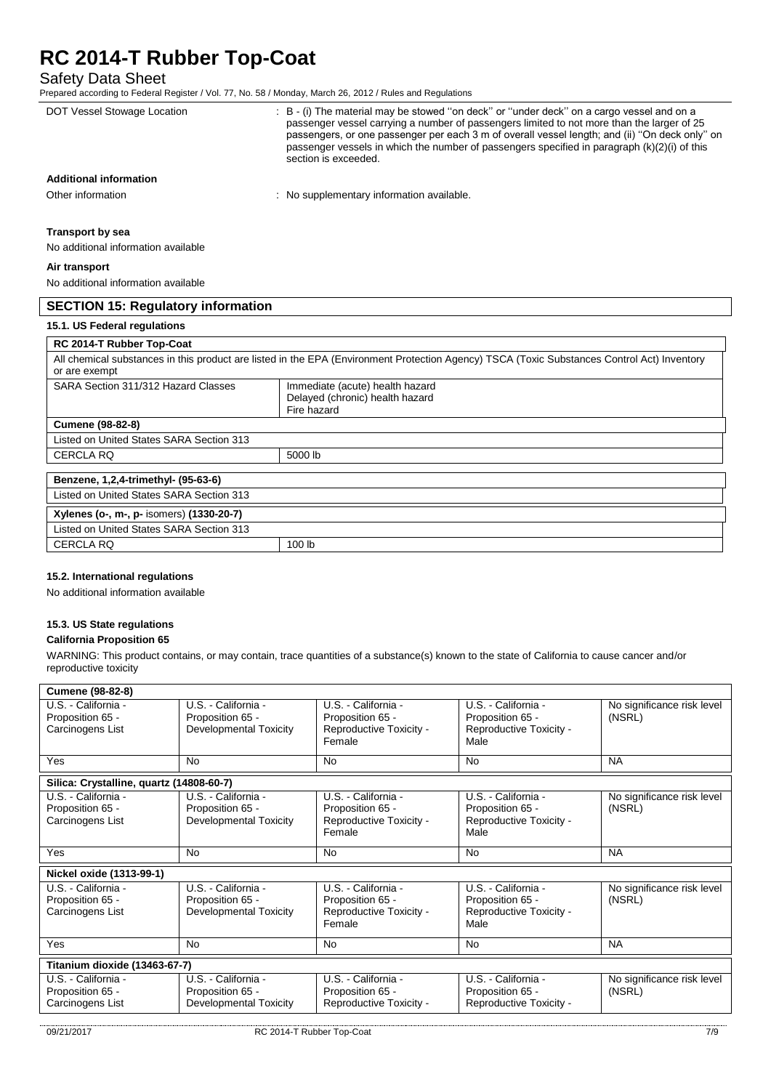## Safety Data Sheet

Prepared according to Federal Register / Vol. 77, No. 58 / Monday, March 26, 2012 / Rules and Regulations

| $\sim$ repared according to Federal Register / Yor. 77, NO. 30 / Monday, March 20, 2012 / Rules and Requisitions                                                                                                                                               |                                                                                                                                                                                                                                                                                                                                                                                                                     |
|----------------------------------------------------------------------------------------------------------------------------------------------------------------------------------------------------------------------------------------------------------------|---------------------------------------------------------------------------------------------------------------------------------------------------------------------------------------------------------------------------------------------------------------------------------------------------------------------------------------------------------------------------------------------------------------------|
| DOT Vessel Stowage Location                                                                                                                                                                                                                                    | : B - (i) The material may be stowed "on deck" or "under deck" on a cargo vessel and on a<br>passenger vessel carrying a number of passengers limited to not more than the larger of 25<br>passengers, or one passenger per each 3 m of overall vessel length; and (ii) "On deck only" on<br>passenger vessels in which the number of passengers specified in paragraph $(k)(2)(i)$ of this<br>section is exceeded. |
| <b>Additional information</b>                                                                                                                                                                                                                                  |                                                                                                                                                                                                                                                                                                                                                                                                                     |
| Other information                                                                                                                                                                                                                                              | : No supplementary information available.                                                                                                                                                                                                                                                                                                                                                                           |
| <b>Transport by sea</b><br>No additional information available                                                                                                                                                                                                 |                                                                                                                                                                                                                                                                                                                                                                                                                     |
| Air transport                                                                                                                                                                                                                                                  |                                                                                                                                                                                                                                                                                                                                                                                                                     |
| No additional information available                                                                                                                                                                                                                            |                                                                                                                                                                                                                                                                                                                                                                                                                     |
| <b>SECTION 15: Regulatory information</b>                                                                                                                                                                                                                      |                                                                                                                                                                                                                                                                                                                                                                                                                     |
| 15.1. US Federal regulations                                                                                                                                                                                                                                   |                                                                                                                                                                                                                                                                                                                                                                                                                     |
| $R_{0}$ $R_{1}$ $R_{2}$ $R_{3}$ $R_{4}$ $R_{5}$ $R_{6}$ $R_{7}$ $R_{8}$ $R_{9}$ $R_{1}$ $R_{2}$ $R_{3}$ $R_{4}$ $R_{5}$ $R_{6}$ $R_{7}$ $R_{8}$ $R_{9}$ $R_{1}$ $R_{2}$ $R_{3}$ $R_{4}$ $R_{5}$ $R_{6}$ $R_{7}$ $R_{8}$ $R_{9}$ $R_{1}$ $R_{1}$ $R_{2}$ $R_{3$ |                                                                                                                                                                                                                                                                                                                                                                                                                     |

| <b>RC 2014-T Rubber Top-Coat</b>         |                                                                                                                                             |
|------------------------------------------|---------------------------------------------------------------------------------------------------------------------------------------------|
| or are exempt                            | All chemical substances in this product are listed in the EPA (Environment Protection Agency) TSCA (Toxic Substances Control Act) Inventory |
| SARA Section 311/312 Hazard Classes      | Immediate (acute) health hazard<br>Delayed (chronic) health hazard<br>Fire hazard                                                           |
| <b>Cumene (98-82-8)</b>                  |                                                                                                                                             |
| Listed on United States SARA Section 313 |                                                                                                                                             |
| <b>CERCLA RQ</b>                         | 5000 lb                                                                                                                                     |
| Benzene, 1,2,4-trimethyl- (95-63-6)      |                                                                                                                                             |
| Listed on United States SARA Section 313 |                                                                                                                                             |
| Xylenes (o-, m-, p- isomers) (1330-20-7) |                                                                                                                                             |
| Listed on United States SARA Section 313 |                                                                                                                                             |
| <b>CERCLA RQ</b>                         | 100 <sub>lb</sub>                                                                                                                           |

## **15.2. International regulations**

No additional information available

## **15.3. US State regulations**

## **California Proposition 65**

WARNING: This product contains, or may contain, trace quantities of a substance(s) known to the state of California to cause cancer and/or reproductive toxicity

| <b>Cumene (98-82-8)</b>                                     |                                                                          |                                                                              |                                                                            |                                      |
|-------------------------------------------------------------|--------------------------------------------------------------------------|------------------------------------------------------------------------------|----------------------------------------------------------------------------|--------------------------------------|
| U.S. - California -<br>Proposition 65 -<br>Carcinogens List | U.S. - California -<br>Proposition 65 -<br><b>Developmental Toxicity</b> | U.S. - California -<br>Proposition 65 -<br>Reproductive Toxicity -<br>Female | U.S. - California -<br>Proposition 65 -<br>Reproductive Toxicity -<br>Male | No significance risk level<br>(NSRL) |
| Yes                                                         | <b>No</b>                                                                | <b>No</b>                                                                    | <b>No</b>                                                                  | <b>NA</b>                            |
| Silica: Crystalline, quartz (14808-60-7)                    |                                                                          |                                                                              |                                                                            |                                      |
| U.S. - California -<br>Proposition 65 -<br>Carcinogens List | U.S. - California -<br>Proposition 65 -<br>Developmental Toxicity        | U.S. - California -<br>Proposition 65 -<br>Reproductive Toxicity -<br>Female | U.S. - California -<br>Proposition 65 -<br>Reproductive Toxicity -<br>Male | No significance risk level<br>(NSRL) |
| Yes                                                         | No                                                                       | <b>No</b>                                                                    | <b>No</b>                                                                  | <b>NA</b>                            |
| Nickel oxide (1313-99-1)                                    |                                                                          |                                                                              |                                                                            |                                      |
| U.S. - California -<br>Proposition 65 -<br>Carcinogens List | U.S. - California -<br>Proposition 65 -<br><b>Developmental Toxicity</b> | U.S. - California -<br>Proposition 65 -<br>Reproductive Toxicity -<br>Female | U.S. - California -<br>Proposition 65 -<br>Reproductive Toxicity -<br>Male | No significance risk level<br>(NSRL) |
| Yes                                                         | No                                                                       | <b>No</b>                                                                    | No                                                                         | <b>NA</b>                            |
| Titanium dioxide (13463-67-7)                               |                                                                          |                                                                              |                                                                            |                                      |
| U.S. - California -<br>Proposition 65 -<br>Carcinogens List | U.S. - California -<br>Proposition 65 -<br><b>Developmental Toxicity</b> | U.S. - California -<br>Proposition 65 -<br>Reproductive Toxicity -           | U.S. - California -<br>Proposition 65 -<br>Reproductive Toxicity -         | No significance risk level<br>(NSRL) |